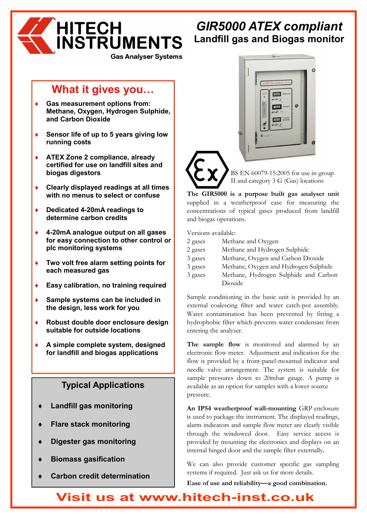

# *GIR5000 ATEX compliant*  **Landfill gas and Biogas monitor**

**Gas Analyser Systems** 

# **What it gives you**

- **Gas measurement options from: Methane, Oxygen, Hydrogen Sulphide, and Carbon Dioxide**
- Sensor life of up to 5 years giving low **running costs**
- ♦ **ATEX Zone 2 compliance, already certified for use on landfill sites and biogas digestors**
- ♦ **Clearly displayed readings at all times with no menus to select or confuse**
- ♦ **Dedicated 4-20mA readings to determine carbon credits**
- ♦ **4-20mA analogue output on all gases for easy connection to other control or plc monitoring systems**
- ♦ **Two volt free alarm setting points for each measured gas**
- **Easy calibration, no training required**
- **Sample systems can be included in the design, less work for you**
- **Robust double door enclosure design suitable for outside locations**
- ♦ **A simple complete system, designed for landfill and biogas applications**

# **Typical Applications**

- **Landfill gas monitoring**
- **Flare stack monitoring**
- **Digester gas monitoring**
- **Biomass gasification**
- **Carbon credit determination**



BS EN 60079-15:2005 for use in group II and category 3 G (Gas) locations

**The GIR5000 is a purpose built gas analyser unit**  supplied in a weatherproof case for measuring the concentrations of typical gases produced from landfill and biogas operations.

Versions available:

| 2 gases | Methane and Oxygen                    |
|---------|---------------------------------------|
| 2 gases | Methane and Hydrogen Sulphide         |
| 3 gases | Methane, Oxygen and Carbon Dioxide    |
| 3 gases | Methane, Oxygen and Hydrogen Sulphide |
| 3 gases | Methane, Hydrogen Sulphide and Carbon |
|         | Dioxide                               |

Sample conditioning in the basic unit is provided by an external coalescing filter and water catch-pot assembly. Water contamination has been prevented by fitting a hydrophobic filter which prevents water condensate from entering the analyser.

**The sample flow** is monitored and alarmed by an electronic flow meter. Adjustment and indication for the flow is provided by a front-panel-mounted indicator and needle valve arrangement. The system is suitable for sample pressures down to 20mbar gauge. A pump is available as an option for samples with a lower source pressure.

**An IP54 weatherproof wall-mounting** GRP enclosure is used to package the instrument. The displayed readings, alarm indicators and sample flow meter are clearly visible through the windowed door. Easy service access is provided by mounting the electronics and displays on an internal hinged door and the sample filter externally**.** 

We can also provide customer specific gas sampling systems if required. Just ask us for more details.

**Ease of use and reliability—a good combination.** 

# **Visit us at www.hitech-inst.co.uk**